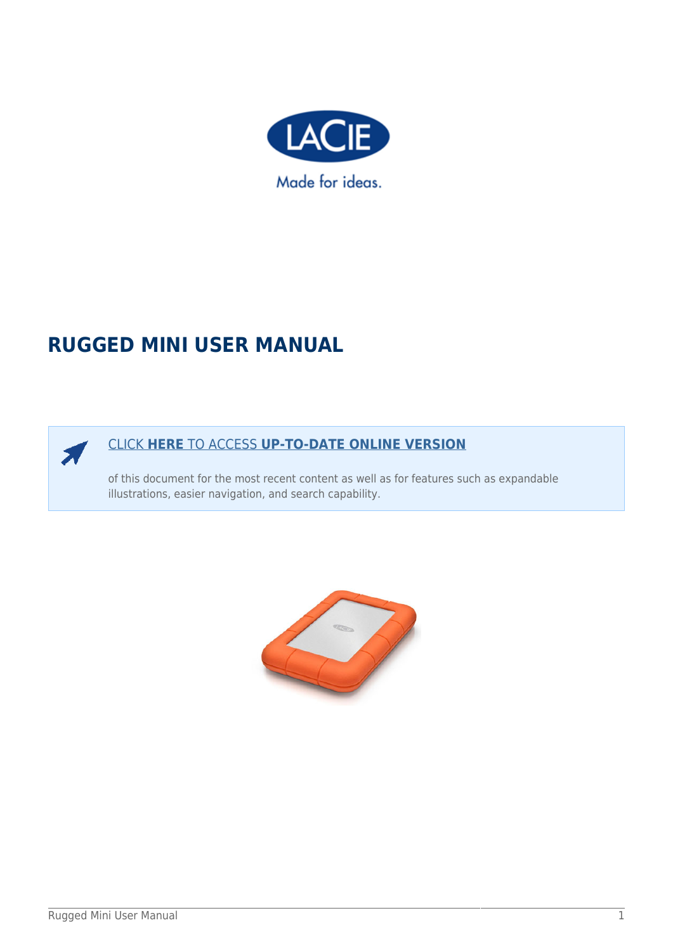

# **RUGGED MINI USER MANUAL**



### [CLICK](http://manuals.lacie.com/en/manuals/rugged-mini/) **[HERE](http://manuals.lacie.com/en/manuals/rugged-mini/)** [TO ACCESS](http://manuals.lacie.com/en/manuals/rugged-mini/) **[UP-TO-DATE ONLINE VERSION](http://manuals.lacie.com/en/manuals/rugged-mini/)**

of this document for the most recent content as well as for features such as expandable illustrations, easier navigation, and search capability.

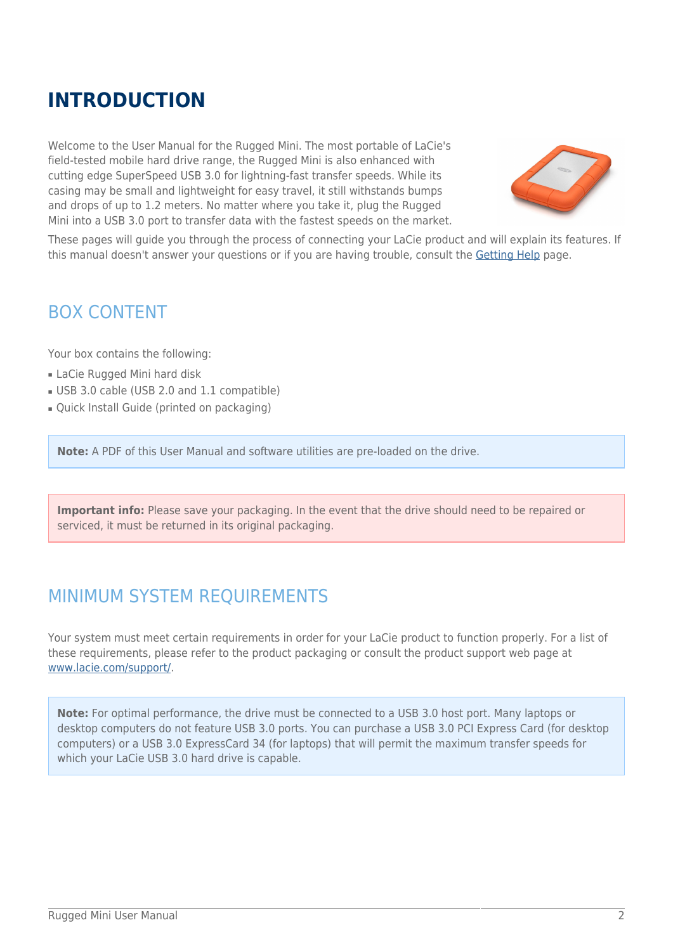# **INTRODUCTION**

Welcome to the User Manual for the Rugged Mini. The most portable of LaCie's field-tested mobile hard drive range, the Rugged Mini is also enhanced with cutting edge SuperSpeed USB 3.0 for lightning-fast transfer speeds. While its casing may be small and lightweight for easy travel, it still withstands bumps and drops of up to 1.2 meters. No matter where you take it, plug the Rugged Mini into a USB 3.0 port to transfer data with the fastest speeds on the market.



These pages will guide you through the process of connecting your LaCie product and will explain its features. If this manual doesn't answer your questions or if you are having trouble, consult the [Getting Help](http://manuals.lacie.com/en/manuals/rugged-mini/help) page.

## BOX CONTENT

Your box contains the following:

- LaCie Rugged Mini hard disk
- USB 3.0 cable (USB 2.0 and 1.1 compatible)
- Quick Install Guide (printed on packaging)

**Note:** A PDF of this User Manual and software utilities are pre-loaded on the drive.

**Important info:** Please save your packaging. In the event that the drive should need to be repaired or serviced, it must be returned in its original packaging.

## MINIMUM SYSTEM REQUIREMENTS

Your system must meet certain requirements in order for your LaCie product to function properly. For a list of these requirements, please refer to the product packaging or consult the product support web page at [www.lacie.com/support/](http://www.lacie.com/support/).

**Note:** For optimal performance, the drive must be connected to a USB 3.0 host port. Many laptops or desktop computers do not feature USB 3.0 ports. You can purchase a USB 3.0 PCI Express Card (for desktop computers) or a USB 3.0 ExpressCard 34 (for laptops) that will permit the maximum transfer speeds for which your LaCie USB 3.0 hard drive is capable.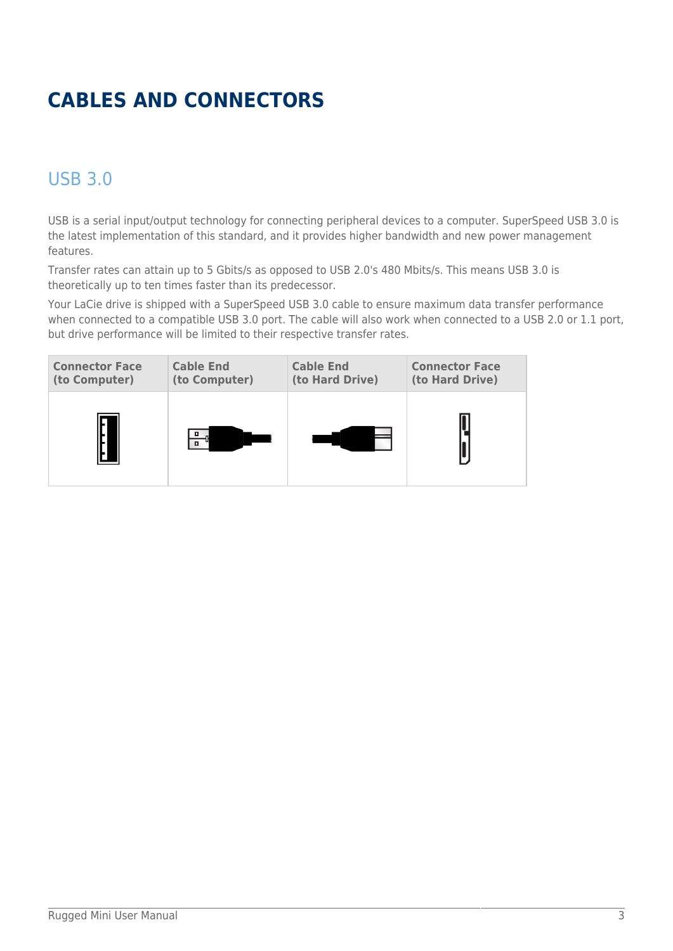# **CABLES AND CONNECTORS**

## USB 3.0

USB is a serial input/output technology for connecting peripheral devices to a computer. SuperSpeed USB 3.0 is the latest implementation of this standard, and it provides higher bandwidth and new power management features.

Transfer rates can attain up to 5 Gbits/s as opposed to USB 2.0's 480 Mbits/s. This means USB 3.0 is theoretically up to ten times faster than its predecessor.

Your LaCie drive is shipped with a SuperSpeed USB 3.0 cable to ensure maximum data transfer performance when connected to a compatible USB 3.0 port. The cable will also work when connected to a USB 2.0 or 1.1 port, but drive performance will be limited to their respective transfer rates.

| <b>Connector Face</b> | <b>Cable End</b> | <b>Cable End</b> | <b>Connector Face</b> |
|-----------------------|------------------|------------------|-----------------------|
| (to Computer)         | (to Computer)    | (to Hard Drive)  | (to Hard Drive)       |
|                       |                  |                  |                       |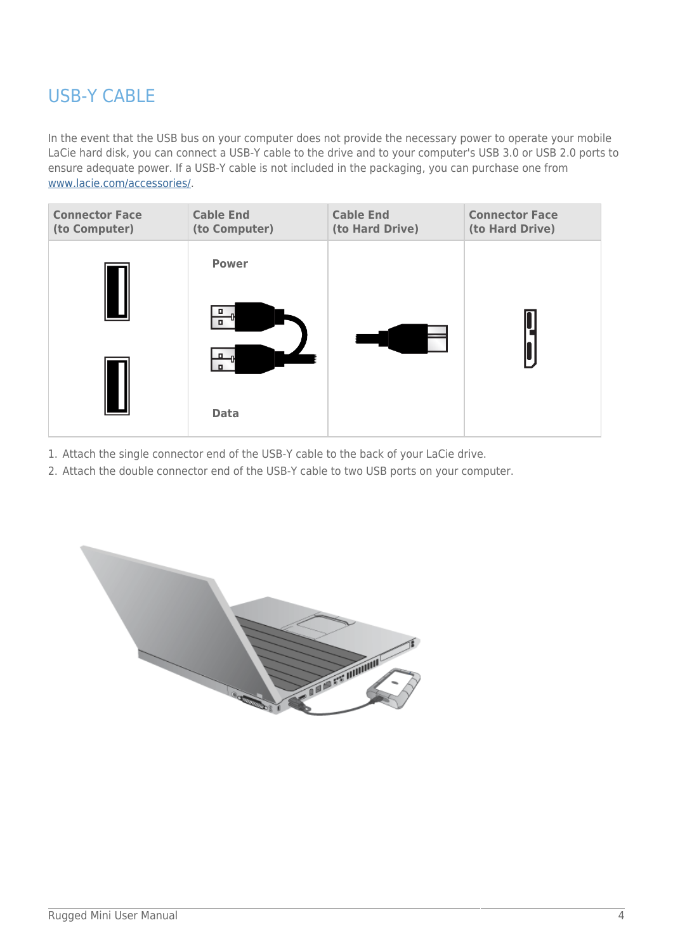## USB-Y CABLE

In the event that the USB bus on your computer does not provide the necessary power to operate your mobile LaCie hard disk, you can connect a USB-Y cable to the drive and to your computer's USB 3.0 or USB 2.0 ports to ensure adequate power. If a USB-Y cable is not included in the packaging, you can purchase one from [www.lacie.com/accessories/.](http://www.lacie.com/accessories)

| <b>Connector Face</b><br>(to Computer) | <b>Cable End</b><br>(to Computer) | <b>Cable End</b><br>(to Hard Drive) | <b>Connector Face</b><br>(to Hard Drive) |
|----------------------------------------|-----------------------------------|-------------------------------------|------------------------------------------|
|                                        | <b>Power</b>                      |                                     |                                          |
|                                        | п                                 |                                     |                                          |
|                                        |                                   |                                     |                                          |
|                                        | <b>Data</b>                       |                                     |                                          |

- 1. Attach the single connector end of the USB-Y cable to the back of your LaCie drive.
- 2. Attach the double connector end of the USB-Y cable to two USB ports on your computer.

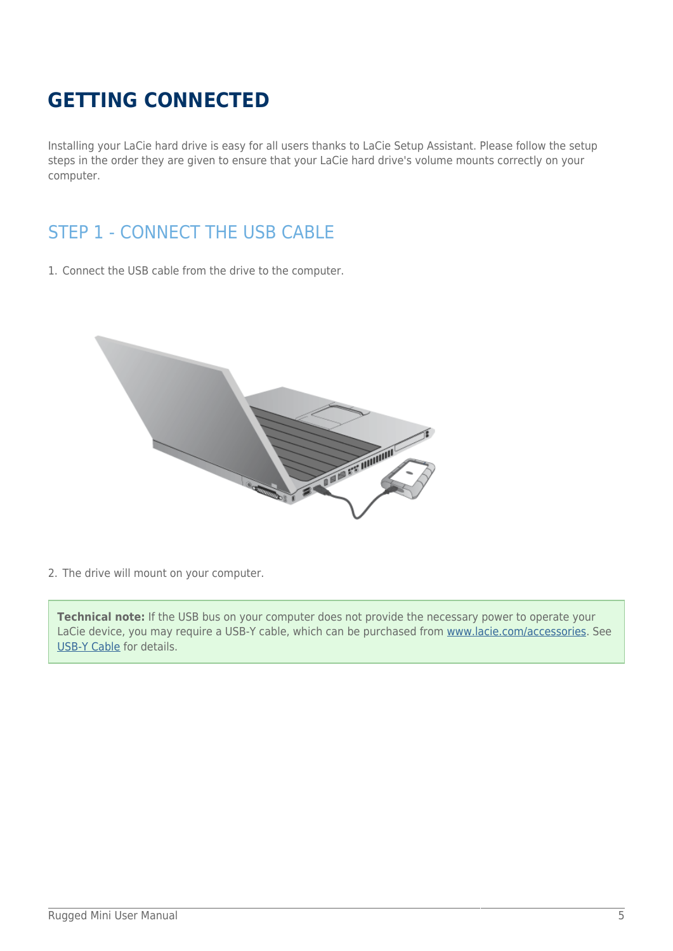# **GETTING CONNECTED**

Installing your LaCie hard drive is easy for all users thanks to LaCie Setup Assistant. Please follow the setup steps in the order they are given to ensure that your LaCie hard drive's volume mounts correctly on your computer.

## STEP 1 - CONNECT THE USB CABLE

1. Connect the USB cable from the drive to the computer.



2. The drive will mount on your computer.

**Technical note:** If the USB bus on your computer does not provide the necessary power to operate your LaCie device, you may require a USB-Y cable, which can be purchased from [www.lacie.com/accessories.](http://www.lacie.com/accessories) See [USB-Y Cable](http://manuals.lacie.com/en/manuals/rugged-mini/cables#usb-y-cable) for details.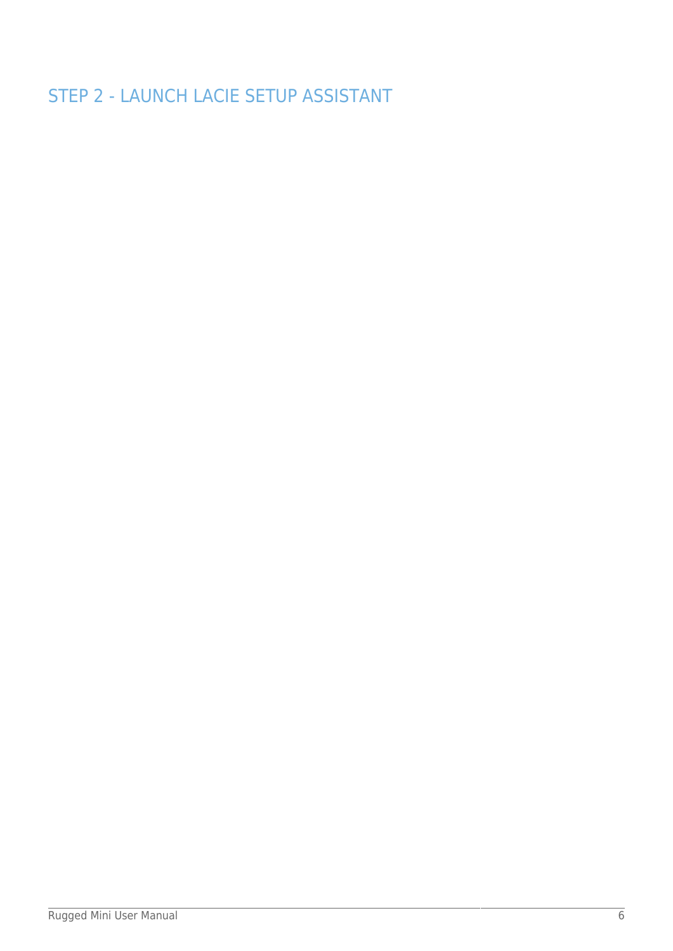STEP 2 - LAUNCH LACIE SETUP ASSISTANT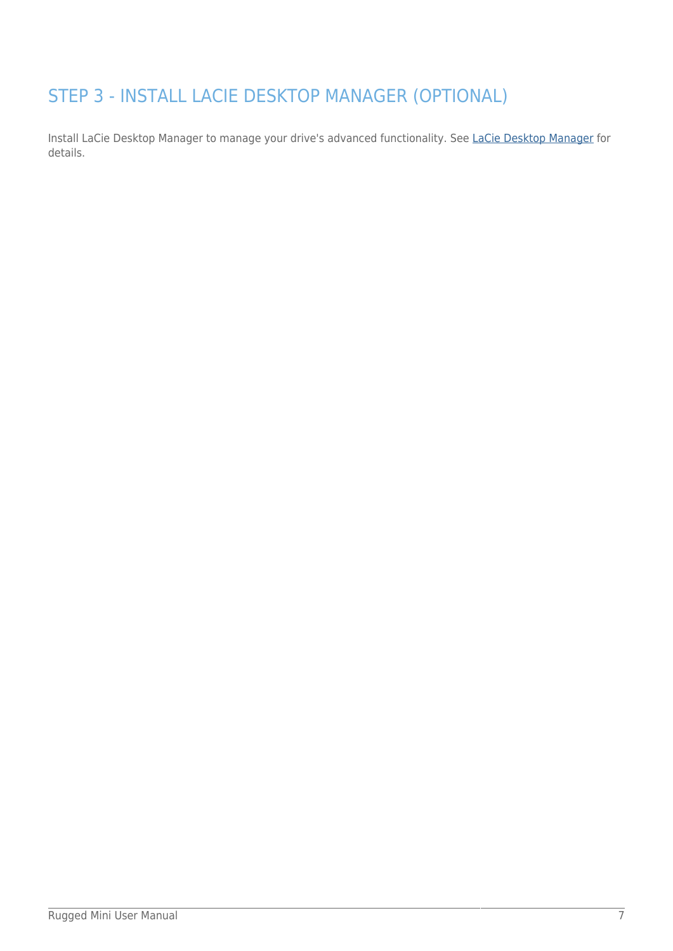## STEP 3 - INSTALL LACIE DESKTOP MANAGER (OPTIONAL)

Install LaCie Desktop Manager to manage your drive's advanced functionality. See [LaCie Desktop Manager](http://manuals.lacie.com/en/manuals/rugged-mini/lacie-desktop-manager) for details.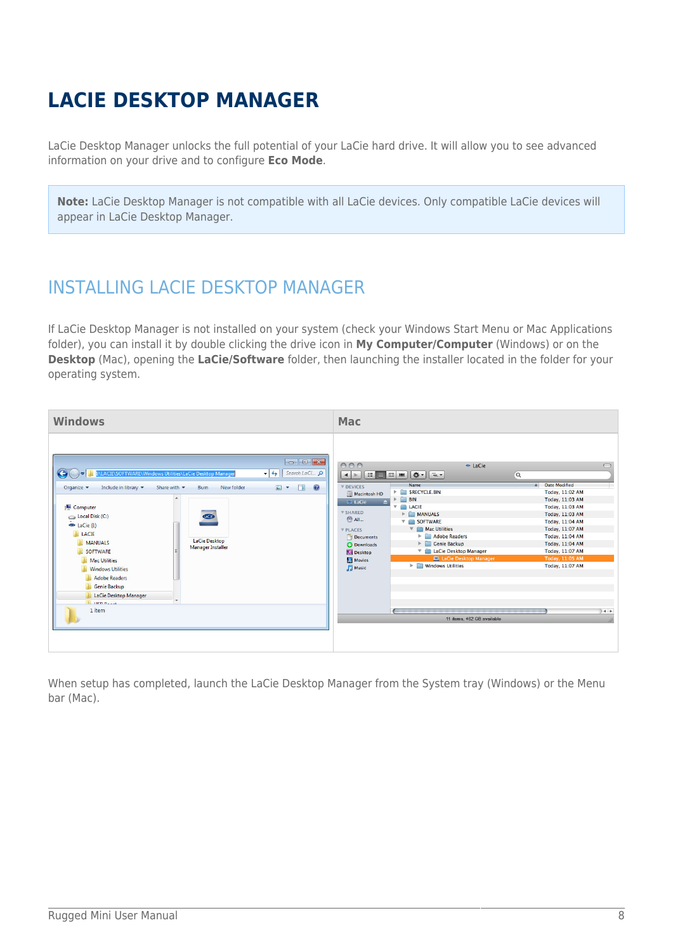# **LACIE DESKTOP MANAGER**

LaCie Desktop Manager unlocks the full potential of your LaCie hard drive. It will allow you to see advanced information on your drive and to configure **Eco Mode**.

**Note:** LaCie Desktop Manager is not compatible with all LaCie devices. Only compatible LaCie devices will appear in LaCie Desktop Manager.

## INSTALLING LACIE DESKTOP MANAGER

If LaCie Desktop Manager is not installed on your system (check your Windows Start Menu or Mac Applications folder), you can install it by double clicking the drive icon in **My Computer/Computer** (Windows) or on the **Desktop** (Mac), opening the **LaCie/Software** folder, then launching the installer located in the folder for your operating system.



When setup has completed, launch the LaCie Desktop Manager from the System tray (Windows) or the Menu bar (Mac).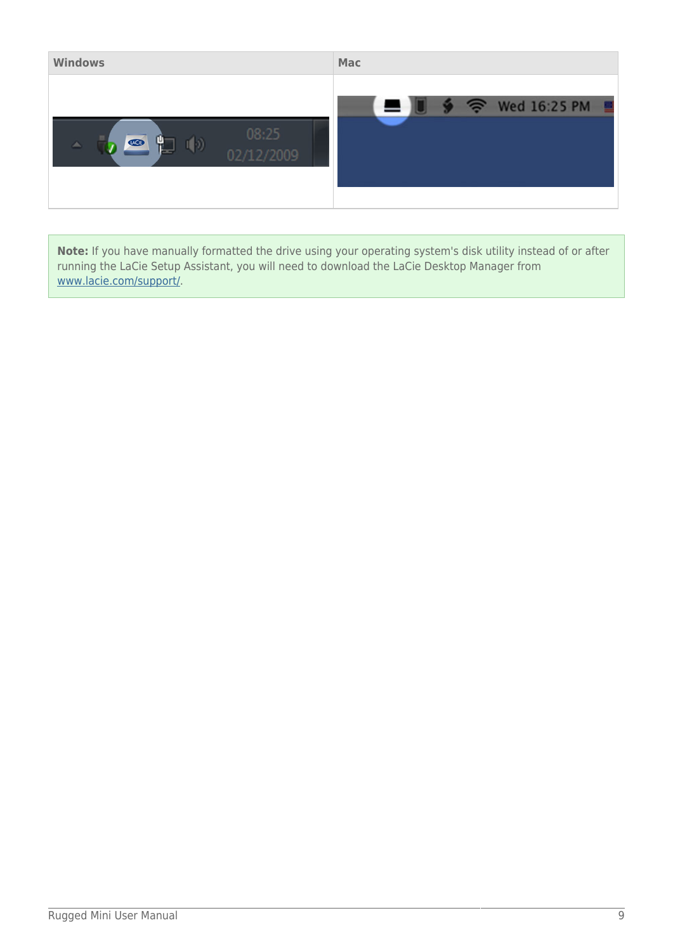| <b>Windows</b>                                                        | <b>Mac</b>               |
|-----------------------------------------------------------------------|--------------------------|
| 08:25<br>Ч<br>$U_1$ C <sub>1</sub> $\Theta$<br>I D<br>人<br>02/12/2009 | Wed 16:25 PM<br>る<br>- 9 |

**Note:** If you have manually formatted the drive using your operating system's disk utility instead of or after running the LaCie Setup Assistant, you will need to download the LaCie Desktop Manager from [www.lacie.com/support/](http://www.lacie.com/support/).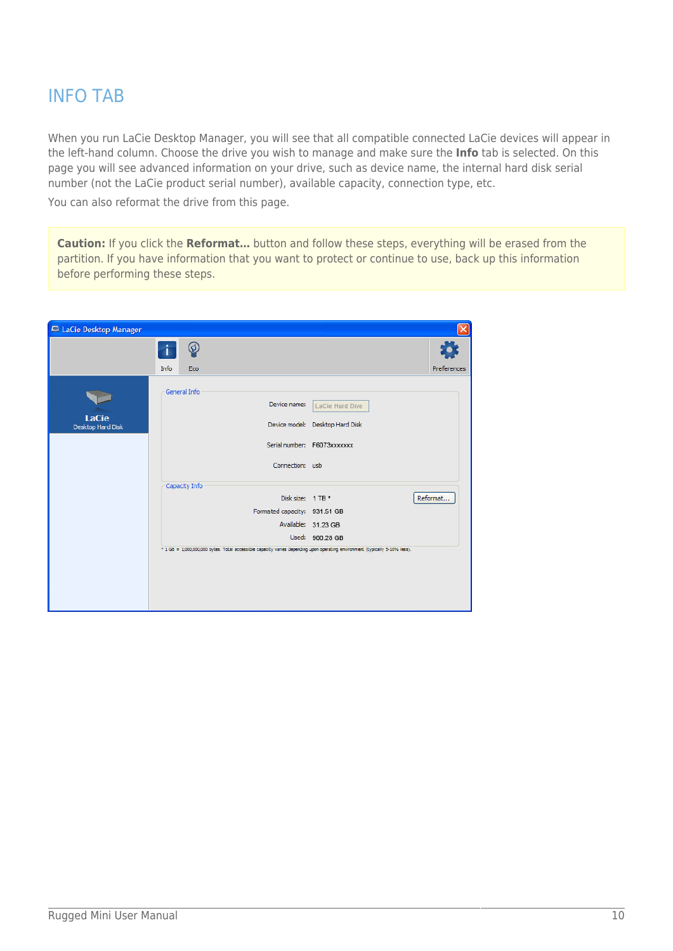## INFO TAB

When you run LaCie Desktop Manager, you will see that all compatible connected LaCie devices will appear in the left-hand column. Choose the drive you wish to manage and make sure the **Info** tab is selected. On this page you will see advanced information on your drive, such as device name, the internal hard disk serial number (not the LaCie product serial number), available capacity, connection type, etc.

You can also reformat the drive from this page.

**Caution:** If you click the **Reformat…** button and follow these steps, everything will be erased from the partition. If you have information that you want to protect or continue to use, back up this information before performing these steps.

| LaCie Desktop Manager |               |                                                                                                                             |             |
|-----------------------|---------------|-----------------------------------------------------------------------------------------------------------------------------|-------------|
|                       | ℗             |                                                                                                                             |             |
|                       | Info<br>Eco   |                                                                                                                             | Preferences |
|                       | General Info  | Device name:<br>LaCie Hard Dive                                                                                             |             |
| <b>LaCie</b>          |               |                                                                                                                             |             |
| Desktop Hard Disk     |               | Device model: Desktop Hard Disk                                                                                             |             |
|                       |               | Serial number: F6073xxxxxxx                                                                                                 |             |
|                       |               | Connection: usb                                                                                                             |             |
|                       | Capacity Info |                                                                                                                             |             |
|                       |               | Disk size: 1 TB *                                                                                                           | Reformat    |
|                       |               | Formated capacity: 931.51 GB                                                                                                |             |
|                       |               | Available: 31.23 GB                                                                                                         |             |
|                       |               | Used: 900.28 GB                                                                                                             |             |
|                       |               | * 1 GB = 1,000,000,000 bytes. Total accessible capacity varies depending upon operating environment (typically 5-10% less). |             |
|                       |               |                                                                                                                             |             |
|                       |               |                                                                                                                             |             |
|                       |               |                                                                                                                             |             |
|                       |               |                                                                                                                             |             |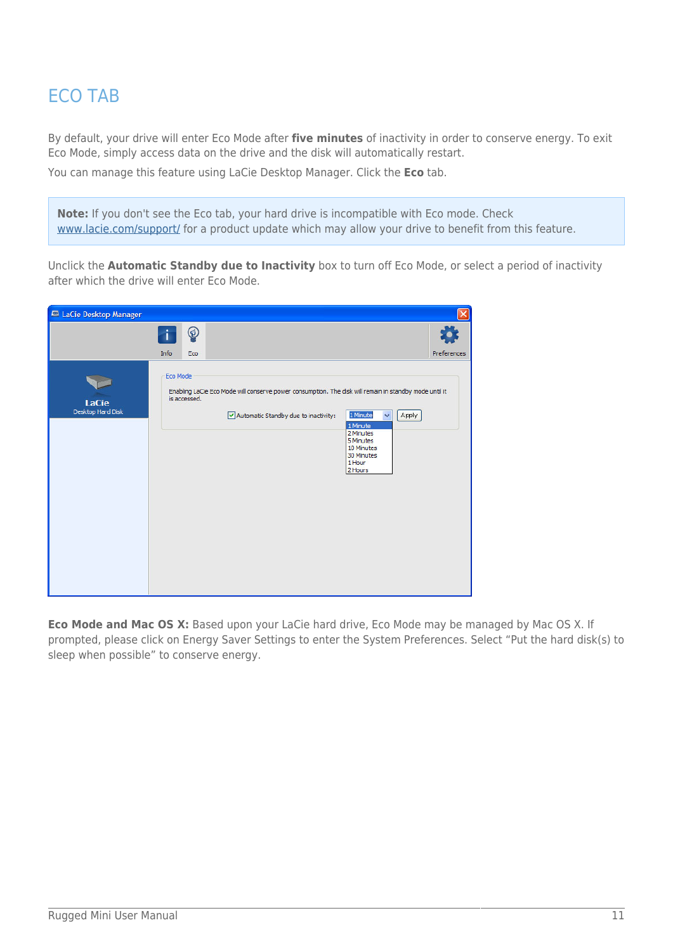## ECO TAB

By default, your drive will enter Eco Mode after **five minutes** of inactivity in order to conserve energy. To exit Eco Mode, simply access data on the drive and the disk will automatically restart. You can manage this feature using LaCie Desktop Manager. Click the **Eco** tab.

**Note:** If you don't see the Eco tab, your hard drive is incompatible with Eco mode. Check [www.lacie.com/support/](http://www.lacie.com/support/) for a product update which may allow your drive to benefit from this feature.

Unclick the **Automatic Standby due to Inactivity** box to turn off Eco Mode, or select a period of inactivity after which the drive will enter Eco Mode.

| LaCie Desktop Manager             |          |              |                                                                                                                                                |                                                                                                               |             |
|-----------------------------------|----------|--------------|------------------------------------------------------------------------------------------------------------------------------------------------|---------------------------------------------------------------------------------------------------------------|-------------|
|                                   | Info     | ♔<br>Eco     |                                                                                                                                                |                                                                                                               | Preferences |
| <b>LaCie</b><br>Desktop Hard Disk | Eco Mode | is accessed. | Enabling LaCie Eco Mode will conserve power consumption. The disk will remain in standby mode until it<br>Automatic Standby due to inactivity: | 1 Minute<br>Apply<br>×<br>1 Minute<br>2 Minutes<br>5 Minutes<br>10 Minutes<br>30 Minutes<br>1 Hour<br>2 Hours |             |

**Eco Mode and Mac OS X:** Based upon your LaCie hard drive, Eco Mode may be managed by Mac OS X. If prompted, please click on Energy Saver Settings to enter the System Preferences. Select "Put the hard disk(s) to sleep when possible" to conserve energy.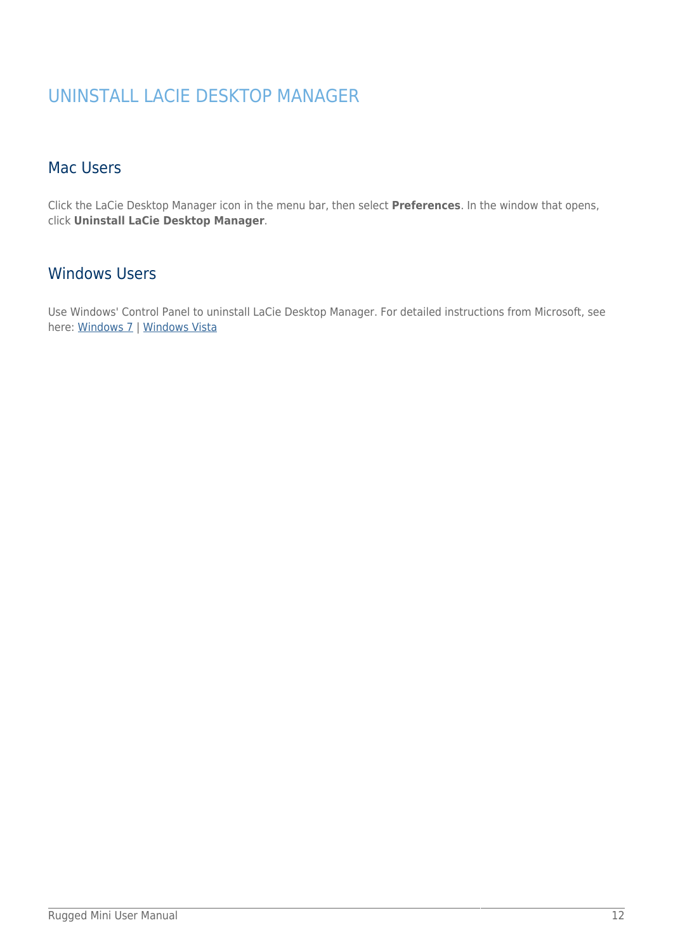## UNINSTALL LACIE DESKTOP MANAGER

### Mac Users

Click the LaCie Desktop Manager icon in the menu bar, then select **Preferences**. In the window that opens, click **Uninstall LaCie Desktop Manager**.

### Windows Users

Use Windows' Control Panel to uninstall LaCie Desktop Manager. For detailed instructions from Microsoft, see here: [Windows 7](http://windows.microsoft.com/en-US/windows7/Uninstall-or-change-a-program) | [Windows Vista](http://windows.microsoft.com/en-US/windows-vista/Uninstall-or-change-a-program)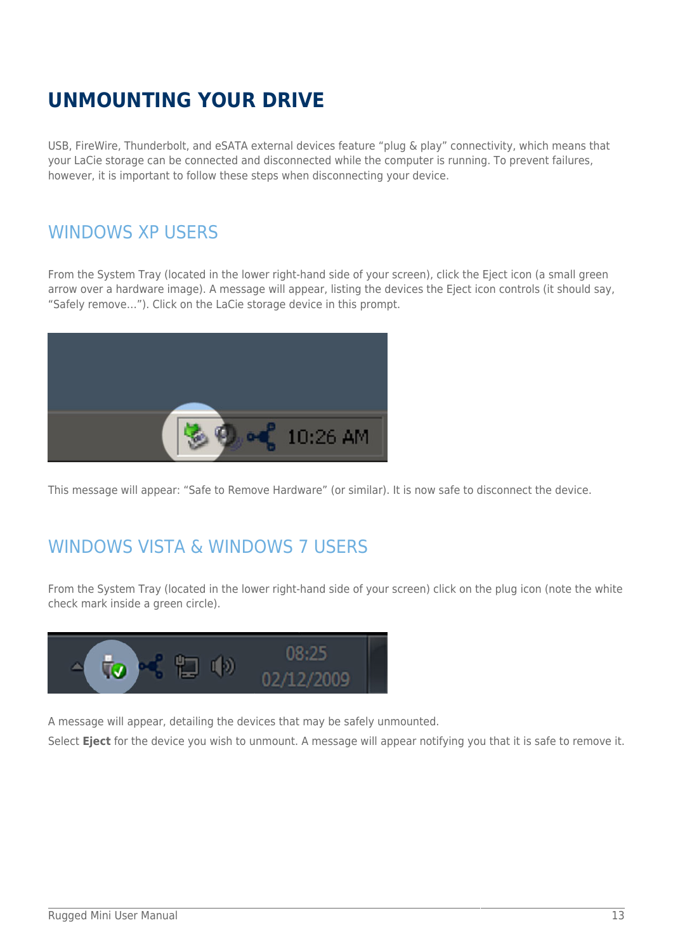# **UNMOUNTING YOUR DRIVE**

USB, FireWire, Thunderbolt, and eSATA external devices feature "plug & play" connectivity, which means that your LaCie storage can be connected and disconnected while the computer is running. To prevent failures, however, it is important to follow these steps when disconnecting your device.

## WINDOWS XP USERS

From the System Tray (located in the lower right-hand side of your screen), click the Eject icon (a small green arrow over a hardware image). A message will appear, listing the devices the Eject icon controls (it should say, "Safely remove…"). Click on the LaCie storage device in this prompt.



This message will appear: "Safe to Remove Hardware" (or similar). It is now safe to disconnect the device.

## WINDOWS VISTA & WINDOWS 7 USERS

From the System Tray (located in the lower right-hand side of your screen) click on the plug icon (note the white check mark inside a green circle).



A message will appear, detailing the devices that may be safely unmounted.

Select **Eject** for the device you wish to unmount. A message will appear notifying you that it is safe to remove it.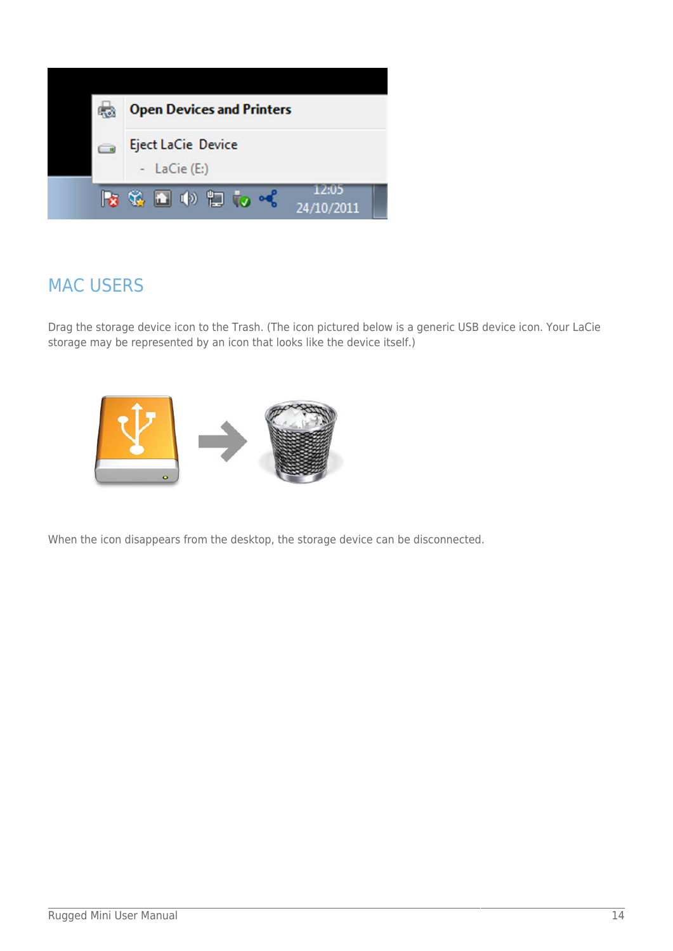

## MAC USERS

Drag the storage device icon to the Trash. (The icon pictured below is a generic USB device icon. Your LaCie storage may be represented by an icon that looks like the device itself.)



When the icon disappears from the desktop, the storage device can be disconnected.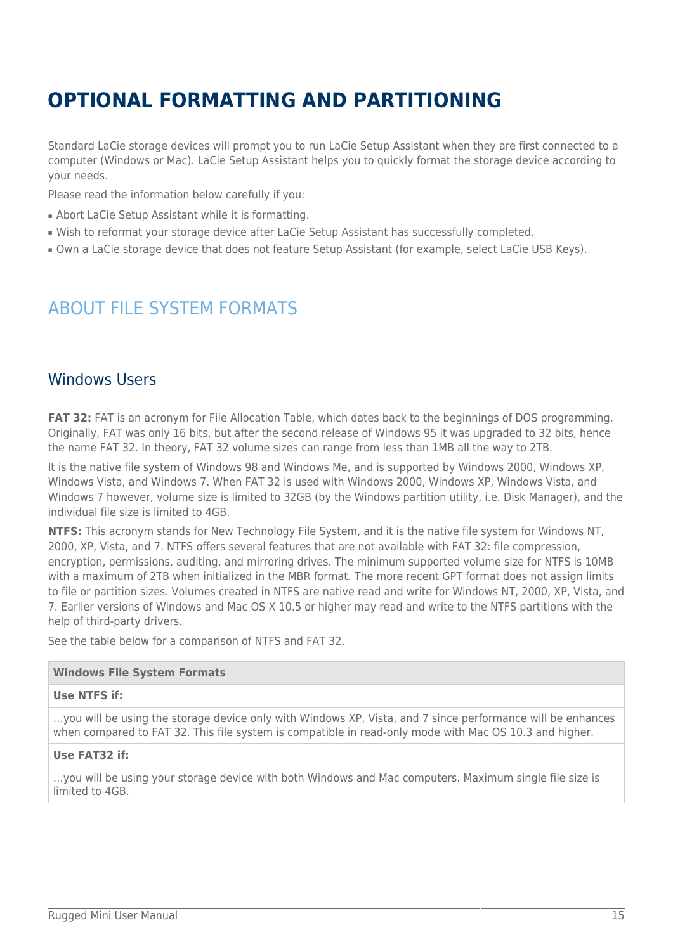# **OPTIONAL FORMATTING AND PARTITIONING**

Standard LaCie storage devices will prompt you to run LaCie Setup Assistant when they are first connected to a computer (Windows or Mac). LaCie Setup Assistant helps you to quickly format the storage device according to your needs.

Please read the information below carefully if you:

- Abort LaCie Setup Assistant while it is formatting.
- Wish to reformat your storage device after LaCie Setup Assistant has successfully completed.
- Own a LaCie storage device that does not feature Setup Assistant (for example, select LaCie USB Keys).

## ABOUT FILE SYSTEM FORMATS

### Windows Users

**FAT 32:** FAT is an acronym for File Allocation Table, which dates back to the beginnings of DOS programming. Originally, FAT was only 16 bits, but after the second release of Windows 95 it was upgraded to 32 bits, hence the name FAT 32. In theory, FAT 32 volume sizes can range from less than 1MB all the way to 2TB.

It is the native file system of Windows 98 and Windows Me, and is supported by Windows 2000, Windows XP, Windows Vista, and Windows 7. When FAT 32 is used with Windows 2000, Windows XP, Windows Vista, and Windows 7 however, volume size is limited to 32GB (by the Windows partition utility, i.e. Disk Manager), and the individual file size is limited to 4GB.

**NTFS:** This acronym stands for New Technology File System, and it is the native file system for Windows NT, 2000, XP, Vista, and 7. NTFS offers several features that are not available with FAT 32: file compression, encryption, permissions, auditing, and mirroring drives. The minimum supported volume size for NTFS is 10MB with a maximum of 2TB when initialized in the MBR format. The more recent GPT format does not assign limits to file or partition sizes. Volumes created in NTFS are native read and write for Windows NT, 2000, XP, Vista, and 7. Earlier versions of Windows and Mac OS X 10.5 or higher may read and write to the NTFS partitions with the help of third-party drivers.

See the table below for a comparison of NTFS and FAT 32.

#### **Windows File System Formats**

#### **Use NTFS if:**

…you will be using the storage device only with Windows XP, Vista, and 7 since performance will be enhances when compared to FAT 32. This file system is compatible in read-only mode with Mac OS 10.3 and higher.

#### **Use FAT32 if:**

…you will be using your storage device with both Windows and Mac computers. Maximum single file size is limited to 4GB.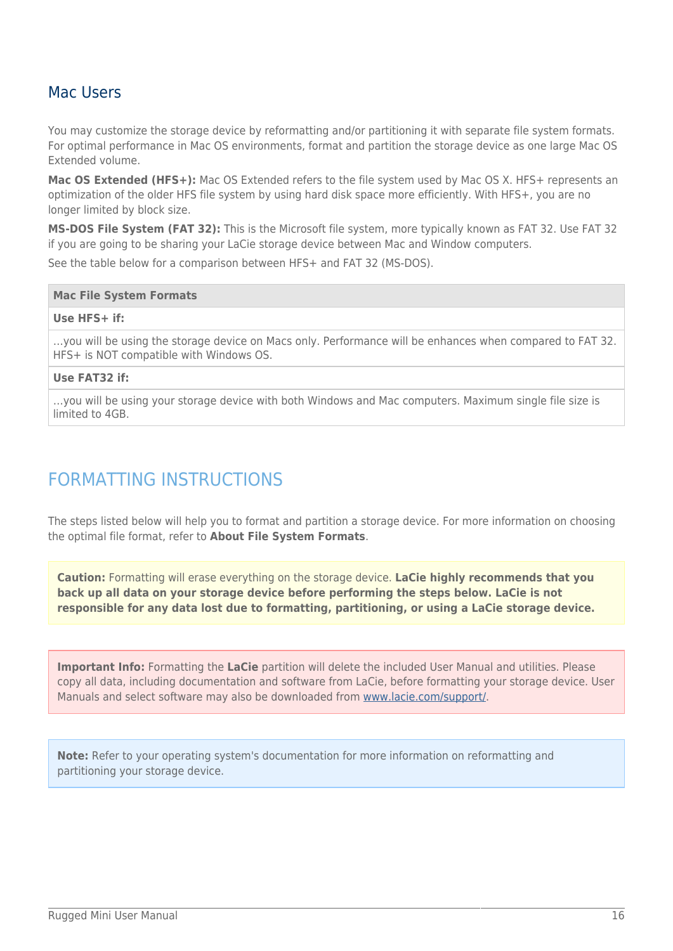### Mac Users

You may customize the storage device by reformatting and/or partitioning it with separate file system formats. For optimal performance in Mac OS environments, format and partition the storage device as one large Mac OS Extended volume.

Mac OS Extended (HFS+): Mac OS Extended refers to the file system used by Mac OS X. HFS+ represents an optimization of the older HFS file system by using hard disk space more efficiently. With HFS+, you are no longer limited by block size.

**MS-DOS File System (FAT 32):** This is the Microsoft file system, more typically known as FAT 32. Use FAT 32 if you are going to be sharing your LaCie storage device between Mac and Window computers.

See the table below for a comparison between HFS+ and FAT 32 (MS-DOS).

#### **Mac File System Formats**

#### **Use HFS+ if:**

…you will be using the storage device on Macs only. Performance will be enhances when compared to FAT 32. HFS+ is NOT compatible with Windows OS.

#### **Use FAT32 if:**

…you will be using your storage device with both Windows and Mac computers. Maximum single file size is limited to 4GB.

## FORMATTING INSTRUCTIONS

The steps listed below will help you to format and partition a storage device. For more information on choosing the optimal file format, refer to **About File System Formats**.

**Caution:** Formatting will erase everything on the storage device. **LaCie highly recommends that you back up all data on your storage device before performing the steps below. LaCie is not responsible for any data lost due to formatting, partitioning, or using a LaCie storage device.**

**Important Info:** Formatting the **LaCie** partition will delete the included User Manual and utilities. Please copy all data, including documentation and software from LaCie, before formatting your storage device. User Manuals and select software may also be downloaded from [www.lacie.com/support/](http://www.lacie.com/support/).

**Note:** Refer to your operating system's documentation for more information on reformatting and partitioning your storage device.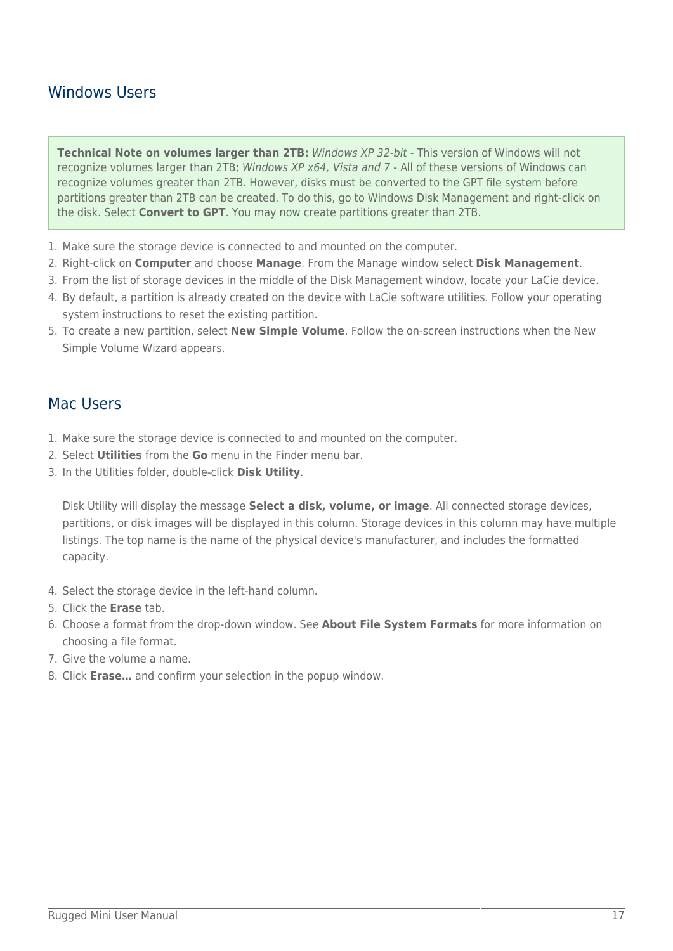### Windows Users

**Technical Note on volumes larger than 2TB:** Windows XP 32-bit - This version of Windows will not recognize volumes larger than 2TB; Windows XP x64, Vista and 7 - All of these versions of Windows can recognize volumes greater than 2TB. However, disks must be converted to the GPT file system before partitions greater than 2TB can be created. To do this, go to Windows Disk Management and right-click on the disk. Select **Convert to GPT**. You may now create partitions greater than 2TB.

- 1. Make sure the storage device is connected to and mounted on the computer.
- 2. Right-click on **Computer** and choose **Manage**. From the Manage window select **Disk Management**.
- 3. From the list of storage devices in the middle of the Disk Management window, locate your LaCie device.
- 4. By default, a partition is already created on the device with LaCie software utilities. Follow your operating system instructions to reset the existing partition.
- 5. To create a new partition, select **New Simple Volume**. Follow the on-screen instructions when the New Simple Volume Wizard appears.

### Mac Users

- 1. Make sure the storage device is connected to and mounted on the computer.
- 2. Select **Utilities** from the **Go** menu in the Finder menu bar.
- 3. In the Utilities folder, double-click **Disk Utility**.

Disk Utility will display the message **Select a disk, volume, or image**. All connected storage devices, partitions, or disk images will be displayed in this column. Storage devices in this column may have multiple listings. The top name is the name of the physical device's manufacturer, and includes the formatted capacity.

- 4. Select the storage device in the left-hand column.
- 5. Click the **Erase** tab.
- 6. Choose a format from the drop-down window. See **About File System Formats** for more information on choosing a file format.
- 7. Give the volume a name.
- 8. Click **Erase…** and confirm your selection in the popup window.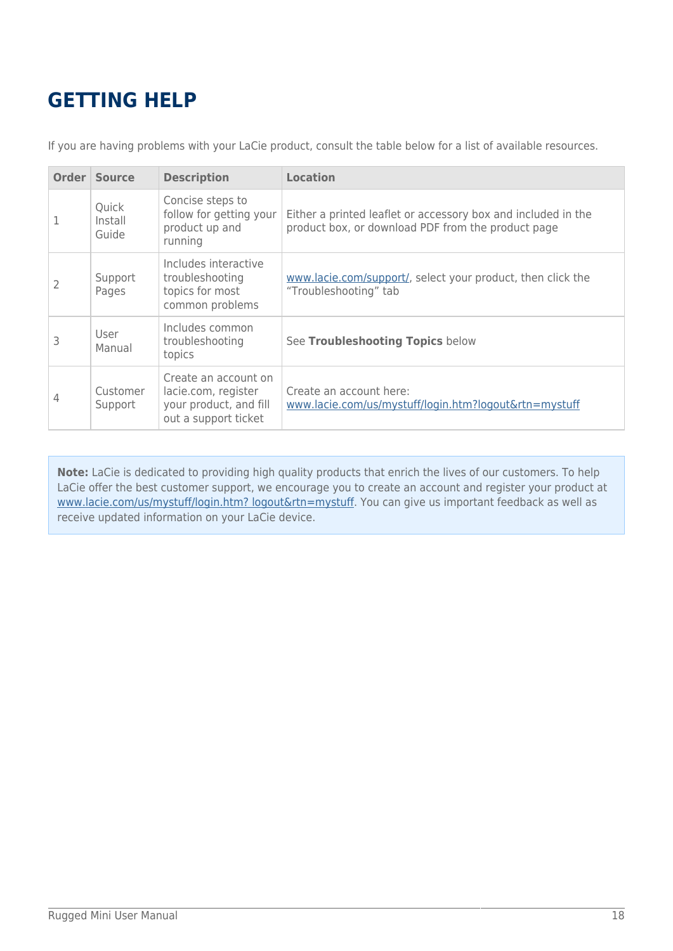# **GETTING HELP**

If you are having problems with your LaCie product, consult the table below for a list of available resources.

|   | <b>Order Source</b>       | <b>Description</b>                                                                            | <b>Location</b>                                                                                                     |
|---|---------------------------|-----------------------------------------------------------------------------------------------|---------------------------------------------------------------------------------------------------------------------|
|   | Quick<br>Install<br>Guide | Concise steps to<br>follow for getting your<br>product up and<br>running                      | Either a printed leaflet or accessory box and included in the<br>product box, or download PDF from the product page |
|   | Support<br>Pages          | Includes interactive<br>troubleshooting<br>topics for most<br>common problems                 | www.lacie.com/support/, select your product, then click the<br>"Troubleshooting" tab                                |
| 3 | User<br>Manual            | Includes common<br>troubleshooting<br>topics                                                  | See Troubleshooting Topics below                                                                                    |
| 4 | Customer<br>Support       | Create an account on<br>lacie.com, register<br>your product, and fill<br>out a support ticket | Create an account here:<br>www.lacie.com/us/mystuff/login.htm?logout&rtn=mystuff                                    |

**Note:** LaCie is dedicated to providing high quality products that enrich the lives of our customers. To help LaCie offer the best customer support, we encourage you to create an account and register your product at [www.lacie.com/us/mystuff/login.htm? logout&rtn=mystuff](http://www.lacie.com/us/mystuff/login.htm? logout&rtn=mystuff). You can give us important feedback as well as receive updated information on your LaCie device.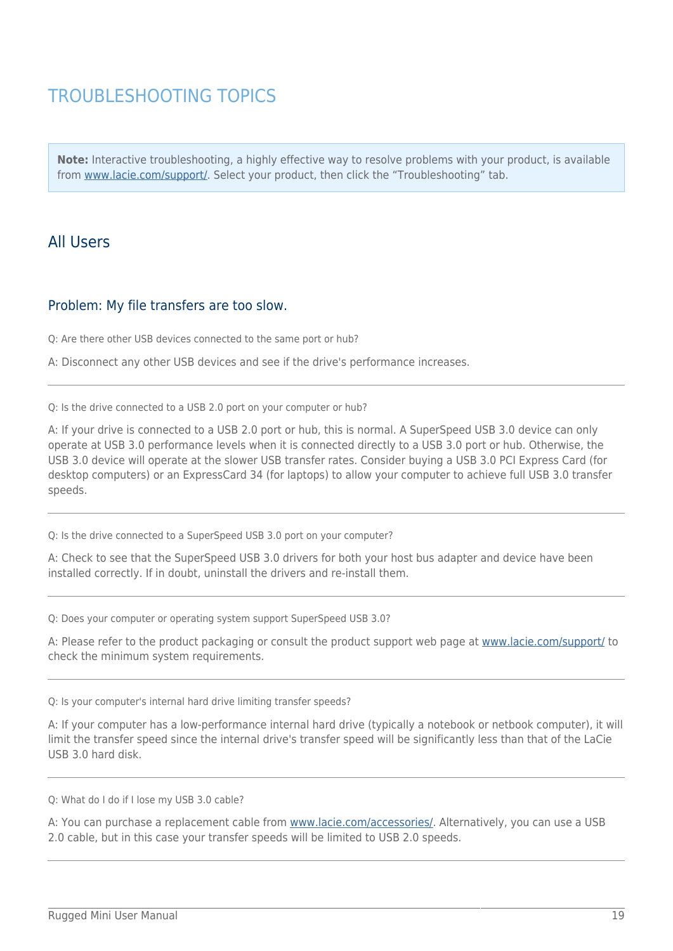## TROUBLESHOOTING TOPICS

**Note:** Interactive troubleshooting, a highly effective way to resolve problems with your product, is available from [www.lacie.com/support/](http://www.lacie.com/support/). Select your product, then click the "Troubleshooting" tab.

### All Users

#### Problem: My file transfers are too slow.

Q: Are there other USB devices connected to the same port or hub?

A: Disconnect any other USB devices and see if the drive's performance increases.

Q: Is the drive connected to a USB 2.0 port on your computer or hub?

A: If your drive is connected to a USB 2.0 port or hub, this is normal. A SuperSpeed USB 3.0 device can only operate at USB 3.0 performance levels when it is connected directly to a USB 3.0 port or hub. Otherwise, the USB 3.0 device will operate at the slower USB transfer rates. Consider buying a USB 3.0 PCI Express Card (for desktop computers) or an ExpressCard 34 (for laptops) to allow your computer to achieve full USB 3.0 transfer speeds.

Q: Is the drive connected to a SuperSpeed USB 3.0 port on your computer?

A: Check to see that the SuperSpeed USB 3.0 drivers for both your host bus adapter and device have been installed correctly. If in doubt, uninstall the drivers and re-install them.

Q: Does your computer or operating system support SuperSpeed USB 3.0?

A: Please refer to the product packaging or consult the product support web page at [www.lacie.com/support/](http://www.lacie.com/support/) to check the minimum system requirements.

Q: Is your computer's internal hard drive limiting transfer speeds?

A: If your computer has a low-performance internal hard drive (typically a notebook or netbook computer), it will limit the transfer speed since the internal drive's transfer speed will be significantly less than that of the LaCie USB 3.0 hard disk.

Q: What do I do if I lose my USB 3.0 cable?

A: You can purchase a replacement cable from [www.lacie.com/accessories/](http://www.lacie.com/accessories/). Alternatively, you can use a USB 2.0 cable, but in this case your transfer speeds will be limited to USB 2.0 speeds.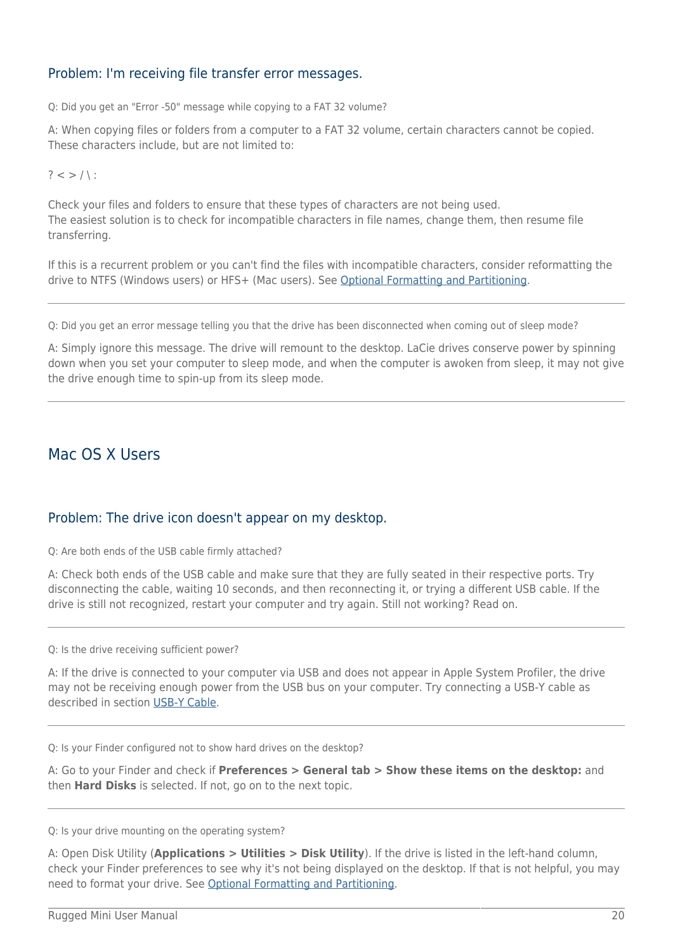#### Problem: I'm receiving file transfer error messages.

Q: Did you get an "Error -50" message while copying to a FAT 32 volume?

A: When copying files or folders from a computer to a FAT 32 volume, certain characters cannot be copied. These characters include, but are not limited to:

 $? < > / \;$ 

Check your files and folders to ensure that these types of characters are not being used. The easiest solution is to check for incompatible characters in file names, change them, then resume file transferring.

If this is a recurrent problem or you can't find the files with incompatible characters, consider reformatting the drive to NTFS (Windows users) or HFS+ (Mac users). See [Optional Formatting and Partitioning](http://manuals.lacie.com/en/manuals/rugged-mini/formatting).

Q: Did you get an error message telling you that the drive has been disconnected when coming out of sleep mode?

A: Simply ignore this message. The drive will remount to the desktop. LaCie drives conserve power by spinning down when you set your computer to sleep mode, and when the computer is awoken from sleep, it may not give the drive enough time to spin-up from its sleep mode.

### Mac OS X Users

#### Problem: The drive icon doesn't appear on my desktop.

Q: Are both ends of the USB cable firmly attached?

A: Check both ends of the USB cable and make sure that they are fully seated in their respective ports. Try disconnecting the cable, waiting 10 seconds, and then reconnecting it, or trying a different USB cable. If the drive is still not recognized, restart your computer and try again. Still not working? Read on.

Q: Is the drive receiving sufficient power?

A: If the drive is connected to your computer via USB and does not appear in Apple System Profiler, the drive may not be receiving enough power from the USB bus on your computer. Try connecting a USB-Y cable as described in section [USB-Y Cable](http://manuals.lacie.com/en/manuals/rugged-mini/cables#usb-y-cable).

Q: Is your Finder configured not to show hard drives on the desktop?

A: Go to your Finder and check if **Preferences > General tab > Show these items on the desktop:** and then **Hard Disks** is selected. If not, go on to the next topic.

#### Q: Is your drive mounting on the operating system?

A: Open Disk Utility (**Applications > Utilities > Disk Utility**). If the drive is listed in the left-hand column, check your Finder preferences to see why it's not being displayed on the desktop. If that is not helpful, you may need to format your drive. See [Optional Formatting and Partitioning.](http://manuals.lacie.com/en/manuals/rugged-mini/formatting)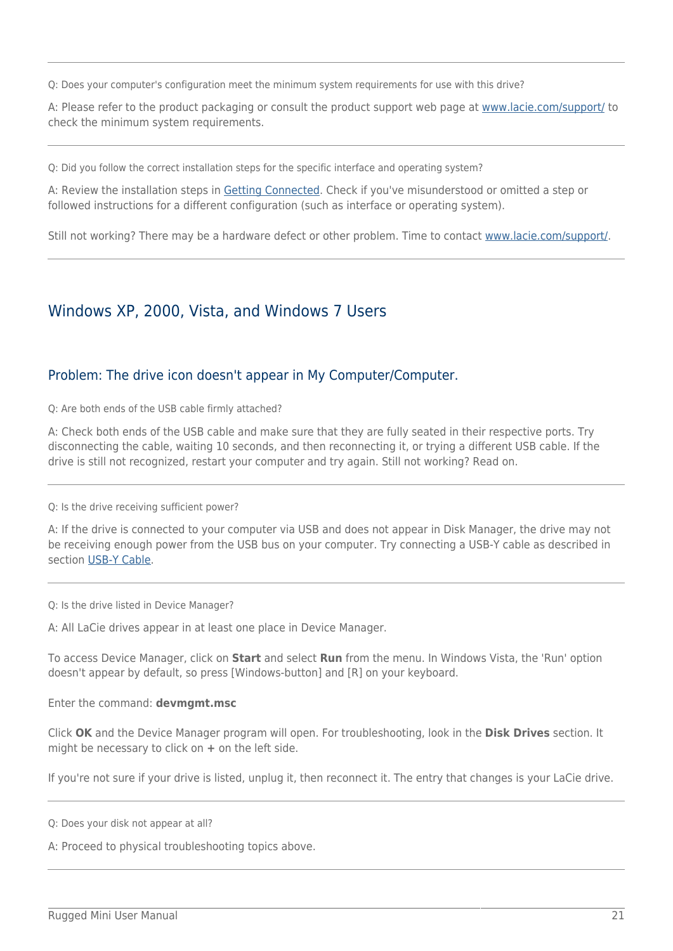Q: Does your computer's configuration meet the minimum system requirements for use with this drive?

A: Please refer to the product packaging or consult the product support web page at [www.lacie.com/support/](http://www.lacie.com/support/) to check the minimum system requirements.

Q: Did you follow the correct installation steps for the specific interface and operating system?

A: Review the installation steps in [Getting Connected.](http://manuals.lacie.com/en/manuals/rugged-mini/connection) Check if you've misunderstood or omitted a step or followed instructions for a different configuration (such as interface or operating system).

Still not working? There may be a hardware defect or other problem. Time to contact [www.lacie.com/support/.](https://www.lacie.com/support/)

### Windows XP, 2000, Vista, and Windows 7 Users

#### Problem: The drive icon doesn't appear in My Computer/Computer.

Q: Are both ends of the USB cable firmly attached?

A: Check both ends of the USB cable and make sure that they are fully seated in their respective ports. Try disconnecting the cable, waiting 10 seconds, and then reconnecting it, or trying a different USB cable. If the drive is still not recognized, restart your computer and try again. Still not working? Read on.

Q: Is the drive receiving sufficient power?

A: If the drive is connected to your computer via USB and does not appear in Disk Manager, the drive may not be receiving enough power from the USB bus on your computer. Try connecting a USB-Y cable as described in section [USB-Y Cable](http://manuals.lacie.com/en/manuals/rugged-mini/cables#usb-y-cable).

Q: Is the drive listed in Device Manager?

A: All LaCie drives appear in at least one place in Device Manager.

To access Device Manager, click on **Start** and select **Run** from the menu. In Windows Vista, the 'Run' option doesn't appear by default, so press [Windows-button] and [R] on your keyboard.

Enter the command: **devmgmt.msc**

Click **OK** and the Device Manager program will open. For troubleshooting, look in the **Disk Drives** section. It might be necessary to click on **+** on the left side.

If you're not sure if your drive is listed, unplug it, then reconnect it. The entry that changes is your LaCie drive.

Q: Does your disk not appear at all?

A: Proceed to physical troubleshooting topics above.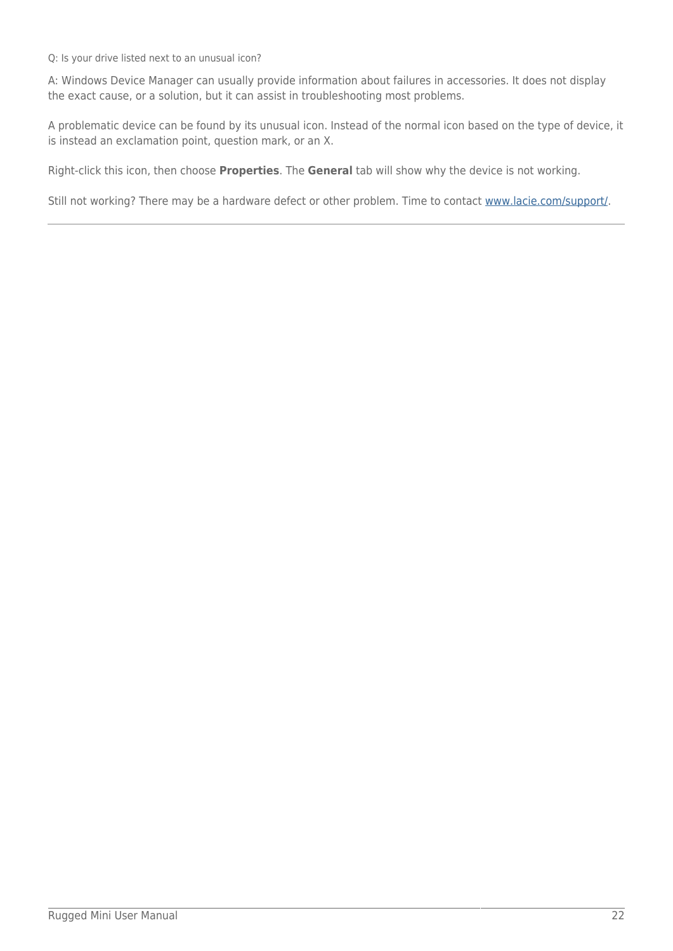Q: Is your drive listed next to an unusual icon?

A: Windows Device Manager can usually provide information about failures in accessories. It does not display the exact cause, or a solution, but it can assist in troubleshooting most problems.

A problematic device can be found by its unusual icon. Instead of the normal icon based on the type of device, it is instead an exclamation point, question mark, or an X.

Right-click this icon, then choose **Properties**. The **General** tab will show why the device is not working.

Still not working? There may be a hardware defect or other problem. Time to contact [www.lacie.com/support/.](https://www.lacie.com/support/)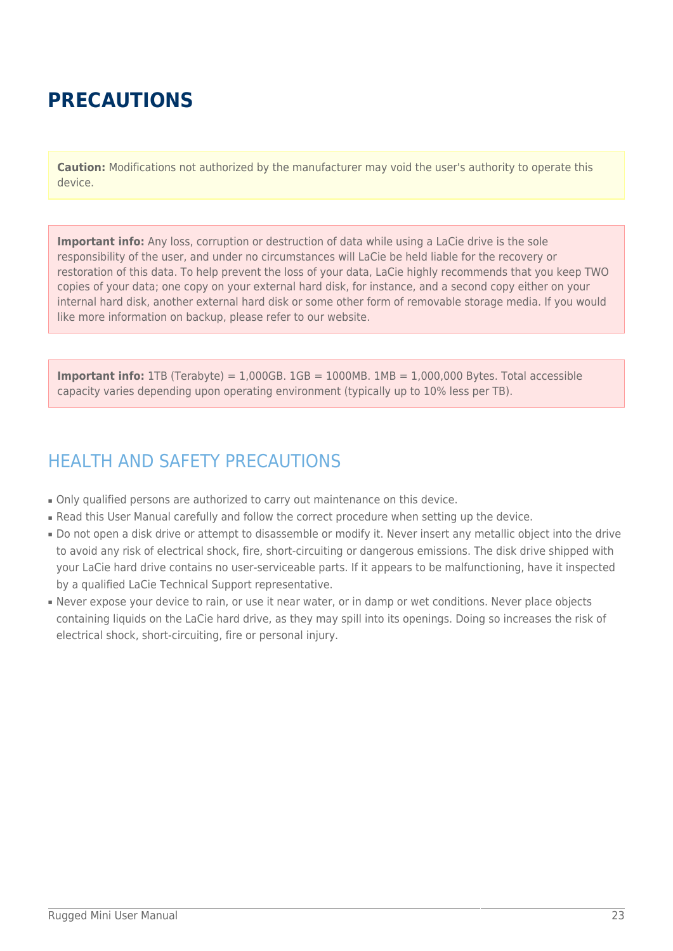# **PRECAUTIONS**

**Caution:** Modifications not authorized by the manufacturer may void the user's authority to operate this device.

**Important info:** Any loss, corruption or destruction of data while using a LaCie drive is the sole responsibility of the user, and under no circumstances will LaCie be held liable for the recovery or restoration of this data. To help prevent the loss of your data, LaCie highly recommends that you keep TWO copies of your data; one copy on your external hard disk, for instance, and a second copy either on your internal hard disk, another external hard disk or some other form of removable storage media. If you would like more information on backup, please refer to our website.

**Important info:** 1TB (Terabyte) =  $1,000GB$ .  $1GB = 1000MB$ .  $1MB = 1,000,000$  Bytes. Total accessible capacity varies depending upon operating environment (typically up to 10% less per TB).

## HEALTH AND SAFETY PRECAUTIONS

- Only qualified persons are authorized to carry out maintenance on this device.
- Read this User Manual carefully and follow the correct procedure when setting up the device.
- Do not open a disk drive or attempt to disassemble or modify it. Never insert any metallic object into the drive to avoid any risk of electrical shock, fire, short-circuiting or dangerous emissions. The disk drive shipped with your LaCie hard drive contains no user-serviceable parts. If it appears to be malfunctioning, have it inspected by a qualified LaCie Technical Support representative.
- Never expose your device to rain, or use it near water, or in damp or wet conditions. Never place objects containing liquids on the LaCie hard drive, as they may spill into its openings. Doing so increases the risk of electrical shock, short-circuiting, fire or personal injury.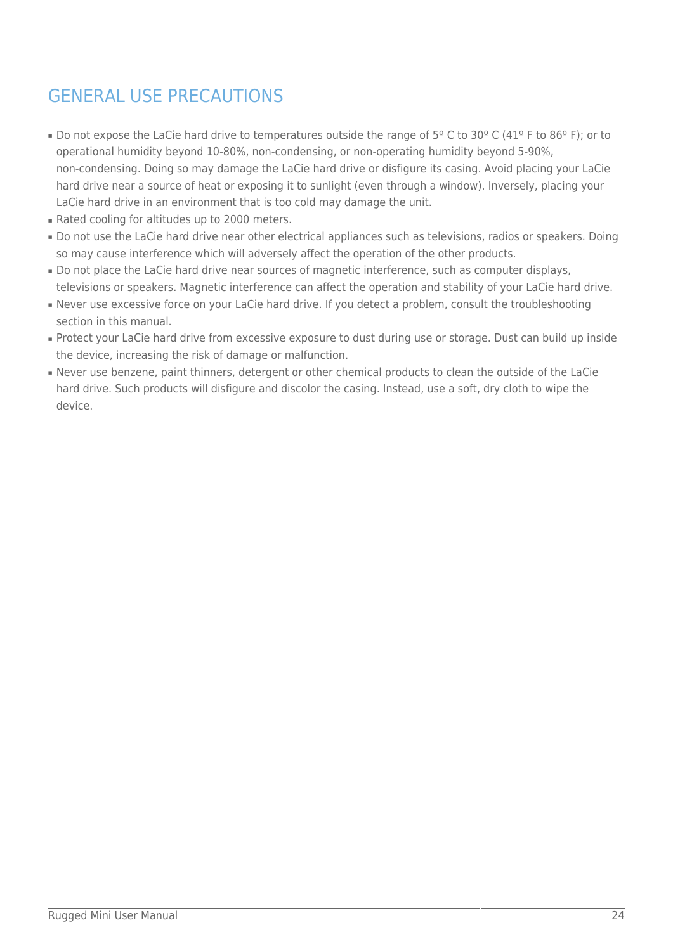## GENERAL USE PRECAUTIONS

- Do not expose the LaCie hard drive to temperatures outside the range of  $5^{\circ}$  C to 30° C (41° F to 86° F); or to operational humidity beyond 10-80%, non-condensing, or non-operating humidity beyond 5-90%, non-condensing. Doing so may damage the LaCie hard drive or disfigure its casing. Avoid placing your LaCie hard drive near a source of heat or exposing it to sunlight (even through a window). Inversely, placing your LaCie hard drive in an environment that is too cold may damage the unit.
- Rated cooling for altitudes up to 2000 meters.
- Do not use the LaCie hard drive near other electrical appliances such as televisions, radios or speakers. Doing so may cause interference which will adversely affect the operation of the other products.
- Do not place the LaCie hard drive near sources of magnetic interference, such as computer displays, televisions or speakers. Magnetic interference can affect the operation and stability of your LaCie hard drive.
- Never use excessive force on your LaCie hard drive. If you detect a problem, consult the troubleshooting section in this manual.
- Protect your LaCie hard drive from excessive exposure to dust during use or storage. Dust can build up inside the device, increasing the risk of damage or malfunction.
- Never use benzene, paint thinners, detergent or other chemical products to clean the outside of the LaCie hard drive. Such products will disfigure and discolor the casing. Instead, use a soft, dry cloth to wipe the device.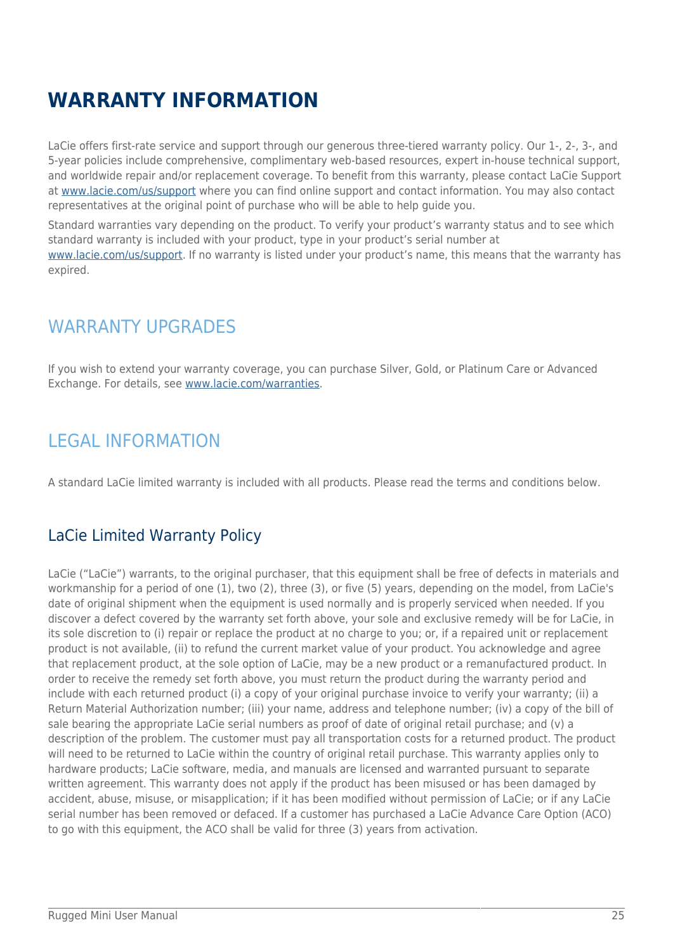# **WARRANTY INFORMATION**

LaCie offers first-rate service and support through our generous three-tiered warranty policy. Our 1-, 2-, 3-, and 5-year policies include comprehensive, complimentary web-based resources, expert in-house technical support, and worldwide repair and/or replacement coverage. To benefit from this warranty, please contact LaCie Support at [www.lacie.com/us/support](http://www.lacie.com/us/support/index.htm) where you can find online support and contact information. You may also contact representatives at the original point of purchase who will be able to help guide you.

Standard warranties vary depending on the product. To verify your product's warranty status and to see which standard warranty is included with your product, type in your product's serial number at

[www.lacie.com/us/support.](http://www.lacie.com/us/support/index.htm) If no warranty is listed under your product's name, this means that the warranty has expired.

## WARRANTY UPGRADES

If you wish to extend your warranty coverage, you can purchase Silver, Gold, or Platinum Care or Advanced Exchange. For details, see [www.lacie.com/warranties.](http://www.lacie.com/warranties)

## LEGAL INFORMATION

A standard LaCie limited warranty is included with all products. Please read the terms and conditions below.

### LaCie Limited Warranty Policy

LaCie ("LaCie") warrants, to the original purchaser, that this equipment shall be free of defects in materials and workmanship for a period of one (1), two (2), three (3), or five (5) years, depending on the model, from LaCie's date of original shipment when the equipment is used normally and is properly serviced when needed. If you discover a defect covered by the warranty set forth above, your sole and exclusive remedy will be for LaCie, in its sole discretion to (i) repair or replace the product at no charge to you; or, if a repaired unit or replacement product is not available, (ii) to refund the current market value of your product. You acknowledge and agree that replacement product, at the sole option of LaCie, may be a new product or a remanufactured product. In order to receive the remedy set forth above, you must return the product during the warranty period and include with each returned product (i) a copy of your original purchase invoice to verify your warranty; (ii) a Return Material Authorization number; (iii) your name, address and telephone number; (iv) a copy of the bill of sale bearing the appropriate LaCie serial numbers as proof of date of original retail purchase; and (v) a description of the problem. The customer must pay all transportation costs for a returned product. The product will need to be returned to LaCie within the country of original retail purchase. This warranty applies only to hardware products; LaCie software, media, and manuals are licensed and warranted pursuant to separate written agreement. This warranty does not apply if the product has been misused or has been damaged by accident, abuse, misuse, or misapplication; if it has been modified without permission of LaCie; or if any LaCie serial number has been removed or defaced. If a customer has purchased a LaCie Advance Care Option (ACO) to go with this equipment, the ACO shall be valid for three (3) years from activation.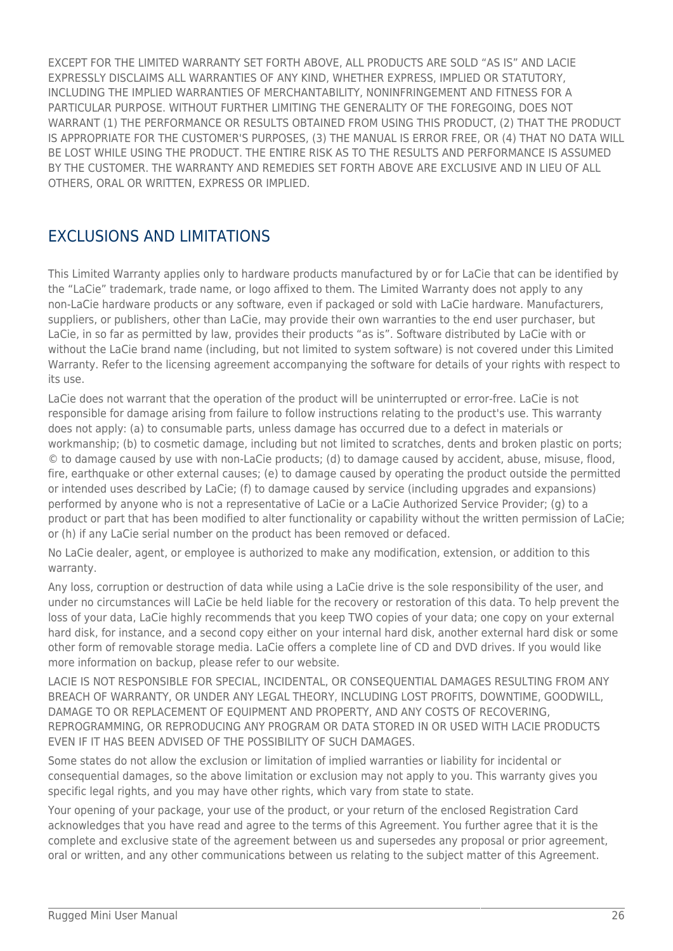EXCEPT FOR THE LIMITED WARRANTY SET FORTH ABOVE, ALL PRODUCTS ARE SOLD "AS IS" AND LACIE EXPRESSLY DISCLAIMS ALL WARRANTIES OF ANY KIND, WHETHER EXPRESS, IMPLIED OR STATUTORY, INCLUDING THE IMPLIED WARRANTIES OF MERCHANTABILITY, NONINFRINGEMENT AND FITNESS FOR A PARTICULAR PURPOSE. WITHOUT FURTHER LIMITING THE GENERALITY OF THE FOREGOING, DOES NOT WARRANT (1) THE PERFORMANCE OR RESULTS OBTAINED FROM USING THIS PRODUCT, (2) THAT THE PRODUCT IS APPROPRIATE FOR THE CUSTOMER'S PURPOSES, (3) THE MANUAL IS ERROR FREE, OR (4) THAT NO DATA WILL BE LOST WHILE USING THE PRODUCT. THE ENTIRE RISK AS TO THE RESULTS AND PERFORMANCE IS ASSUMED BY THE CUSTOMER. THE WARRANTY AND REMEDIES SET FORTH ABOVE ARE EXCLUSIVE AND IN LIEU OF ALL OTHERS, ORAL OR WRITTEN, EXPRESS OR IMPLIED.

### EXCLUSIONS AND LIMITATIONS

This Limited Warranty applies only to hardware products manufactured by or for LaCie that can be identified by the "LaCie" trademark, trade name, or logo affixed to them. The Limited Warranty does not apply to any non-LaCie hardware products or any software, even if packaged or sold with LaCie hardware. Manufacturers, suppliers, or publishers, other than LaCie, may provide their own warranties to the end user purchaser, but LaCie, in so far as permitted by law, provides their products "as is". Software distributed by LaCie with or without the LaCie brand name (including, but not limited to system software) is not covered under this Limited Warranty. Refer to the licensing agreement accompanying the software for details of your rights with respect to its use.

LaCie does not warrant that the operation of the product will be uninterrupted or error-free. LaCie is not responsible for damage arising from failure to follow instructions relating to the product's use. This warranty does not apply: (a) to consumable parts, unless damage has occurred due to a defect in materials or workmanship; (b) to cosmetic damage, including but not limited to scratches, dents and broken plastic on ports; © to damage caused by use with non-LaCie products; (d) to damage caused by accident, abuse, misuse, flood, fire, earthquake or other external causes; (e) to damage caused by operating the product outside the permitted or intended uses described by LaCie; (f) to damage caused by service (including upgrades and expansions) performed by anyone who is not a representative of LaCie or a LaCie Authorized Service Provider; (g) to a product or part that has been modified to alter functionality or capability without the written permission of LaCie; or (h) if any LaCie serial number on the product has been removed or defaced.

No LaCie dealer, agent, or employee is authorized to make any modification, extension, or addition to this warranty.

Any loss, corruption or destruction of data while using a LaCie drive is the sole responsibility of the user, and under no circumstances will LaCie be held liable for the recovery or restoration of this data. To help prevent the loss of your data, LaCie highly recommends that you keep TWO copies of your data; one copy on your external hard disk, for instance, and a second copy either on your internal hard disk, another external hard disk or some other form of removable storage media. LaCie offers a complete line of CD and DVD drives. If you would like more information on backup, please refer to our website.

LACIE IS NOT RESPONSIBLE FOR SPECIAL, INCIDENTAL, OR CONSEQUENTIAL DAMAGES RESULTING FROM ANY BREACH OF WARRANTY, OR UNDER ANY LEGAL THEORY, INCLUDING LOST PROFITS, DOWNTIME, GOODWILL, DAMAGE TO OR REPLACEMENT OF EOUIPMENT AND PROPERTY, AND ANY COSTS OF RECOVERING. REPROGRAMMING, OR REPRODUCING ANY PROGRAM OR DATA STORED IN OR USED WITH LACIE PRODUCTS EVEN IF IT HAS BEEN ADVISED OF THE POSSIBILITY OF SUCH DAMAGES.

Some states do not allow the exclusion or limitation of implied warranties or liability for incidental or consequential damages, so the above limitation or exclusion may not apply to you. This warranty gives you specific legal rights, and you may have other rights, which vary from state to state.

Your opening of your package, your use of the product, or your return of the enclosed Registration Card acknowledges that you have read and agree to the terms of this Agreement. You further agree that it is the complete and exclusive state of the agreement between us and supersedes any proposal or prior agreement, oral or written, and any other communications between us relating to the subject matter of this Agreement.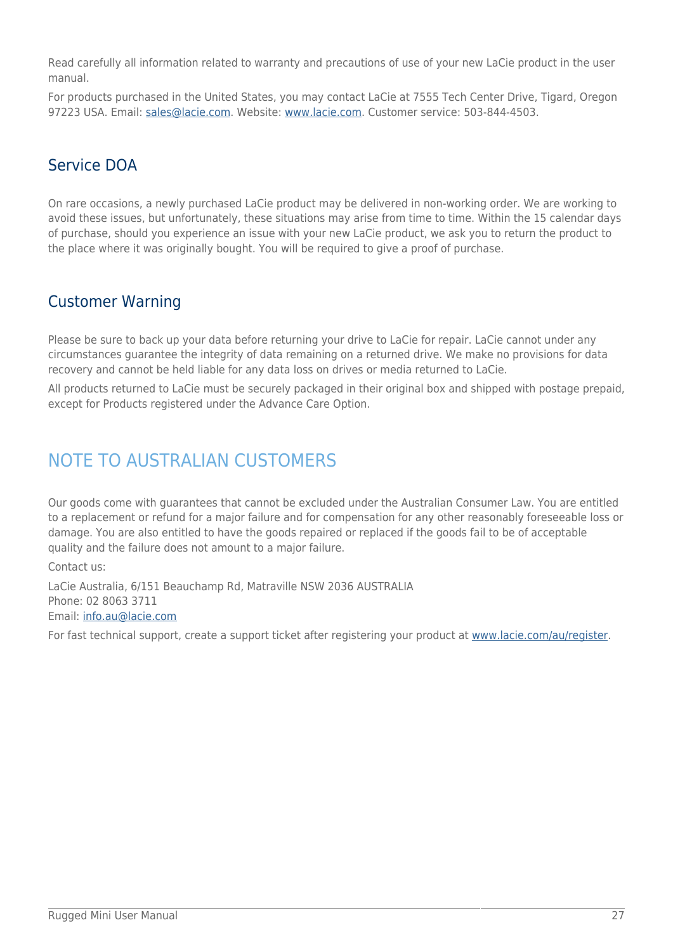Read carefully all information related to warranty and precautions of use of your new LaCie product in the user manual.

For products purchased in the United States, you may contact LaCie at 7555 Tech Center Drive, Tigard, Oregon 97223 USA. Email: [sales@lacie.com.](mailto:sales@lacie.com) Website: [www.lacie.com](http://www.lacie.com). Customer service: 503-844-4503.

### Service DOA

On rare occasions, a newly purchased LaCie product may be delivered in non-working order. We are working to avoid these issues, but unfortunately, these situations may arise from time to time. Within the 15 calendar days of purchase, should you experience an issue with your new LaCie product, we ask you to return the product to the place where it was originally bought. You will be required to give a proof of purchase.

### Customer Warning

Please be sure to back up your data before returning your drive to LaCie for repair. LaCie cannot under any circumstances guarantee the integrity of data remaining on a returned drive. We make no provisions for data recovery and cannot be held liable for any data loss on drives or media returned to LaCie.

All products returned to LaCie must be securely packaged in their original box and shipped with postage prepaid, except for Products registered under the Advance Care Option.

## NOTE TO AUSTRALIAN CUSTOMERS

Our goods come with guarantees that cannot be excluded under the Australian Consumer Law. You are entitled to a replacement or refund for a major failure and for compensation for any other reasonably foreseeable loss or damage. You are also entitled to have the goods repaired or replaced if the goods fail to be of acceptable quality and the failure does not amount to a major failure.

Contact us:

LaCie Australia, 6/151 Beauchamp Rd, Matraville NSW 2036 AUSTRALIA Phone: 02 8063 3711 Email: [info.au@lacie.com](mailto:info.au@lacie.com)

For fast technical support, create a support ticket after registering your product at [www.lacie.com/au/register.](http://www.lacie.com/au/register)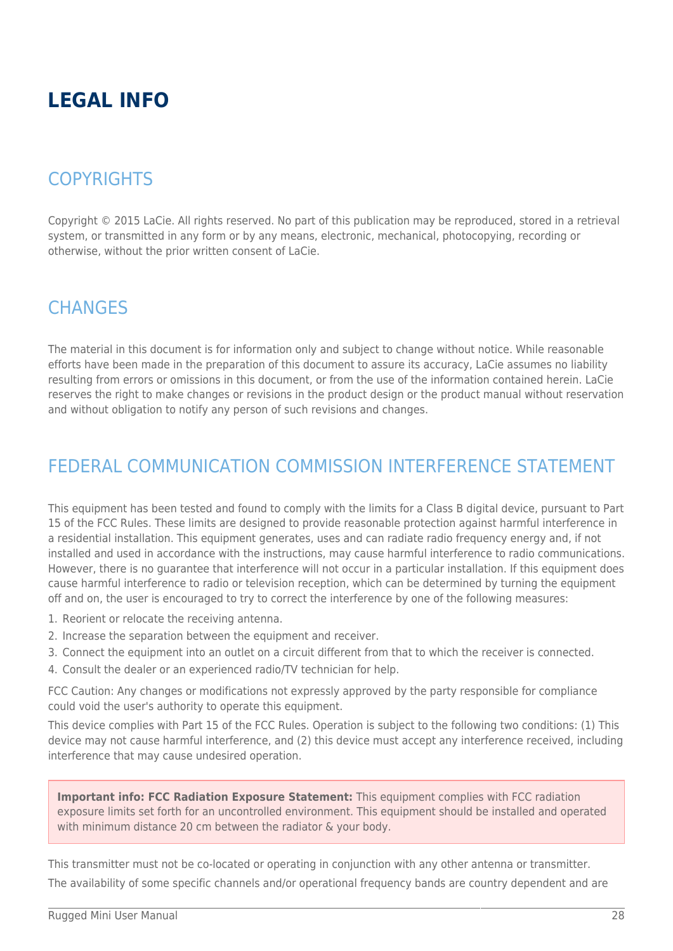# **LEGAL INFO**

## **COPYRIGHTS**

Copyright © 2015 LaCie. All rights reserved. No part of this publication may be reproduced, stored in a retrieval system, or transmitted in any form or by any means, electronic, mechanical, photocopying, recording or otherwise, without the prior written consent of LaCie.

## **CHANGES**

The material in this document is for information only and subject to change without notice. While reasonable efforts have been made in the preparation of this document to assure its accuracy, LaCie assumes no liability resulting from errors or omissions in this document, or from the use of the information contained herein. LaCie reserves the right to make changes or revisions in the product design or the product manual without reservation and without obligation to notify any person of such revisions and changes.

## FEDERAL COMMUNICATION COMMISSION INTERFERENCE STATEMENT

This equipment has been tested and found to comply with the limits for a Class B digital device, pursuant to Part 15 of the FCC Rules. These limits are designed to provide reasonable protection against harmful interference in a residential installation. This equipment generates, uses and can radiate radio frequency energy and, if not installed and used in accordance with the instructions, may cause harmful interference to radio communications. However, there is no guarantee that interference will not occur in a particular installation. If this equipment does cause harmful interference to radio or television reception, which can be determined by turning the equipment off and on, the user is encouraged to try to correct the interference by one of the following measures:

- 1. Reorient or relocate the receiving antenna.
- 2. Increase the separation between the equipment and receiver.
- 3. Connect the equipment into an outlet on a circuit different from that to which the receiver is connected.
- 4. Consult the dealer or an experienced radio/TV technician for help.

FCC Caution: Any changes or modifications not expressly approved by the party responsible for compliance could void the user's authority to operate this equipment.

This device complies with Part 15 of the FCC Rules. Operation is subject to the following two conditions: (1) This device may not cause harmful interference, and (2) this device must accept any interference received, including interference that may cause undesired operation.

**Important info: FCC Radiation Exposure Statement:** This equipment complies with FCC radiation exposure limits set forth for an uncontrolled environment. This equipment should be installed and operated with minimum distance 20 cm between the radiator & your body.

This transmitter must not be co-located or operating in conjunction with any other antenna or transmitter. The availability of some specific channels and/or operational frequency bands are country dependent and are